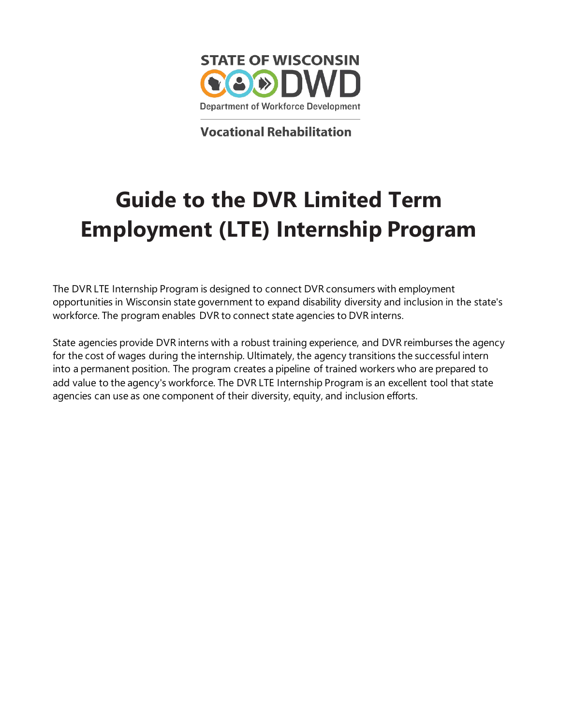

**Vocational Rehabilitation** 

# **Guide to the DVR Limited Term Employment (LTE) Internship Program**

The DVR LTE Internship Program is designed to connect DVR consumers with employment opportunities in Wisconsin state government to expand disability diversity and inclusion in the state's workforce. The program enables DVR to connect state agencies to DVR interns.

State agencies provide DVR interns with a robust training experience, and DVR reimburses the agency for the cost of wages during the internship. Ultimately, the agency transitions the successful intern into a permanent position. The program creates a pipeline of trained workers who are prepared to add value to the agency's workforce. The DVR LTE Internship Program is an excellent tool that state agencies can use as one component of their diversity, equity, and inclusion efforts.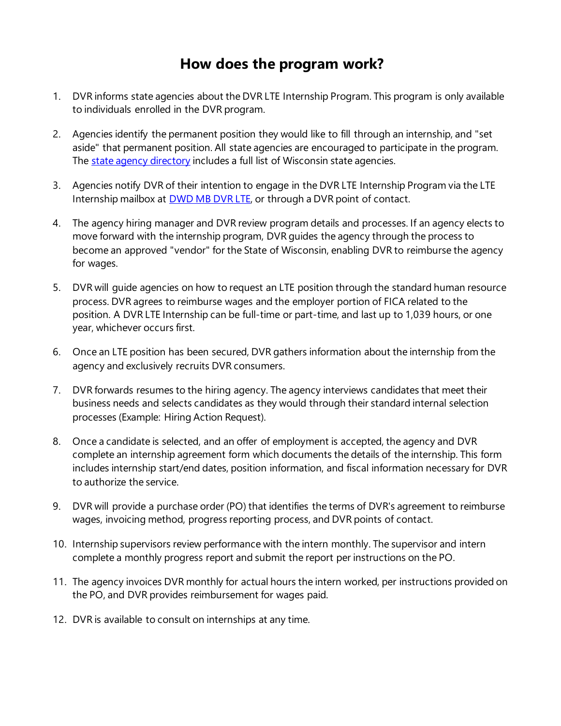## **How does the program work?**

- 1. DVR informs state agencies about the DVR LTE Internship Program. This program is only available to individuals enrolled in the DVR program.
- 2. Agencies identify the permanent position they would like to fill through an internship, and "set aside" that permanent position. All state agencies are encouraged to participate in the program. The [state agency directory](https://www.wisconsin.gov/Pages/AllAgencies.aspx) includes a full list of Wisconsin state agencies.
- 3. Agencies notify DVR of their intention to engage in the DVR LTE Internship Program via the LTE Internship mailbox at [DWD MB DVR LTE,](mailto:dvrlte@dwd.wisconsin.gov) or through a DVR point of contact.
- 4. The agency hiring manager and DVR review program details and processes. If an agency elects to move forward with the internship program, DVR guides the agency through the process to become an approved "vendor" for the State of Wisconsin, enabling DVR to reimburse the agency for wages.
- 5. DVR will guide agencies on how to request an LTE position through the standard human resource process. DVR agrees to reimburse wages and the employer portion of FICA related to the position. A DVR LTE Internship can be full-time or part-time, and last up to 1,039 hours, or one year, whichever occurs first.
- 6. Once an LTE position has been secured, DVR gathers information about the internship from the agency and exclusively recruits DVR consumers.
- 7. DVR forwards resumes to the hiring agency. The agency interviews candidates that meet their business needs and selects candidates as they would through their standard internal selection processes (Example: Hiring Action Request).
- 8. Once a candidate is selected, and an offer of employment is accepted, the agency and DVR complete an internship agreement form which documents the details of the internship. This form includes internship start/end dates, position information, and fiscal information necessary for DVR to authorize the service.
- 9. DVR will provide a purchase order (PO) that identifies the terms of DVR's agreement to reimburse wages, invoicing method, progress reporting process, and DVR points of contact.
- 10. Internship supervisors review performance with the intern monthly. The supervisor and intern complete a monthly progress report and submit the report per instructions on the PO.
- 11. The agency invoices DVR monthly for actual hours the intern worked, per instructions provided on the PO, and DVR provides reimbursement for wages paid.
- 12. DVR is available to consult on internships at any time.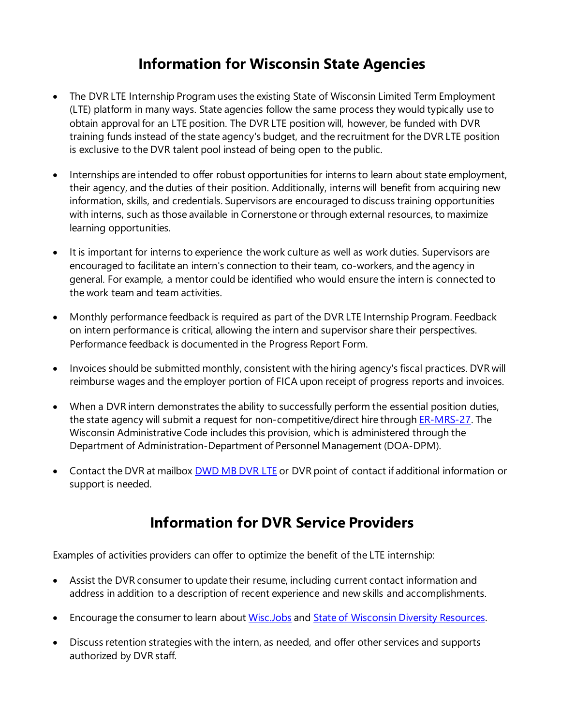## **Information for Wisconsin State Agencies**

- The DVR LTE Internship Program uses the existing State of Wisconsin Limited Term Employment (LTE) platform in many ways. State agencies follow the same process they would typically use to obtain approval for an LTE position. The DVR LTE position will, however, be funded with DVR training funds instead of the state agency's budget, and the recruitment for the DVR LTE position is exclusive to the DVR talent pool instead of being open to the public.
- Internships are intended to offer robust opportunities for interns to learn about state employment, their agency, and the duties of their position. Additionally, interns will benefit from acquiring new information, skills, and credentials. Supervisors are encouraged to discuss training opportunities with interns, such as those available in Cornerstone or through external resources, to maximize learning opportunities.
- It is important for interns to experience the work culture as well as work duties. Supervisors are encouraged to facilitate an intern's connection to their team, co-workers, and the agency in general. For example, a mentor could be identified who would ensure the intern is connected to the work team and team activities.
- Monthly performance feedback is required as part of the DVR LTE Internship Program. Feedback on intern performance is critical, allowing the intern and supervisor share their perspectives. Performance feedback is documented in the Progress Report Form.
- Invoices should be submitted monthly, consistent with the hiring agency's fiscal practices. DVR will reimburse wages and the employer portion of FICA upon receipt of progress reports and invoices.
- When a DVR intern demonstrates the ability to successfully perform the essential position duties, the state agency will submit a request for non-competitive/direct hire throug[h ER-MRS-27](https://docs.legis.wisconsin.gov/code/admin_code/er_mrs/27). The Wisconsin Administrative Code includes this provision, which is administered through the Department of Administration-Department of Personnel Management (DOA-DPM).
- Contact the DVR at mailbox [DWD MB DVR LTE](mailto:dvrlte@dwd.wisconsin.gov) or DVR point of contact if additional information or support is needed.

## **Information for DVR Service Providers**

Examples of activities providers can offer to optimize the benefit of the LTE internship:

- Assist the DVR consumer to update their resume, including current contact information and address in addition to a description of recent experience and new skills and accomplishments.
- Encourage the consumer to learn about [Wisc.Jobs](https://wisc.jobs/) and [State of Wisconsin Diversity Resources.](https://wisc.jobs/Pages/EI-DiverseWorkforce.aspx)
- Discuss retention strategies with the intern, as needed, and offer other services and supports authorized by DVR staff.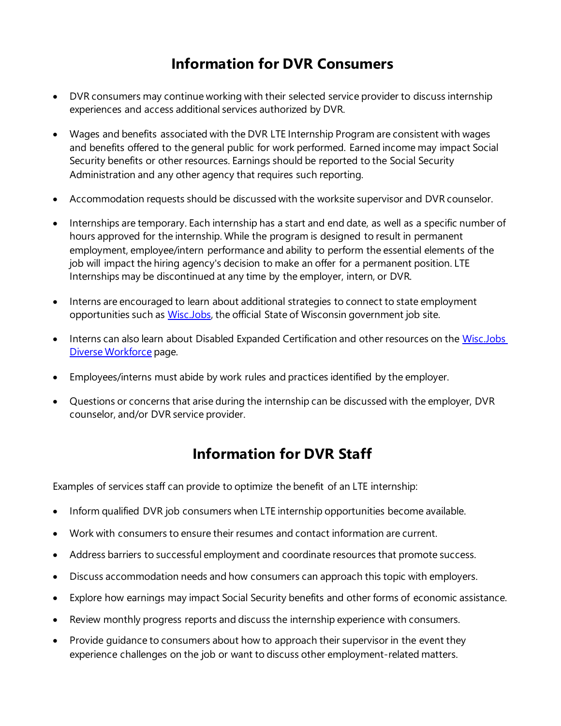# **Information for DVR Consumers**

- DVR consumers may continue working with their selected service provider to discuss internship experiences and access additional services authorized by DVR.
- Wages and benefits associated with the DVR LTE Internship Program are consistent with wages and benefits offered to the general public for work performed. Earned income may impact Social Security benefits or other resources. Earnings should be reported to the Social Security Administration and any other agency that requires such reporting.
- Accommodation requests should be discussed with the worksite supervisor and DVR counselor.
- Internships are temporary. Each internship has a start and end date, as well as a specific number of hours approved for the internship. While the program is designed to result in permanent employment, employee/intern performance and ability to perform the essential elements of the job will impact the hiring agency's decision to make an offer for a permanent position. LTE Internships may be discontinued at any time by the employer, intern, or DVR.
- Interns are encouraged to learn about additional strategies to connect to state employment opportunities such as [Wisc.Jobs,](http://wisc.jobs/) the official State of Wisconsin government job site.
- Interns can also learn about Disabled Expanded Certification and other resources on the Wisc.Jobs [Diverse Workforce](https://wisc.jobs/Pages/EI-DiverseWorkforce.aspx) page.
- Employees/interns must abide by work rules and practices identified by the employer.
- Questions or concerns that arise during the internship can be discussed with the employer, DVR counselor, and/or DVR service provider.

# **Information for DVR Staff**

Examples of services staff can provide to optimize the benefit of an LTE internship:

- Inform qualified DVR job consumers when LTE internship opportunities become available.
- Work with consumers to ensure their resumes and contact information are current.
- Address barriers to successful employment and coordinate resources that promote success.
- Discuss accommodation needs and how consumers can approach this topic with employers.
- Explore how earnings may impact Social Security benefits and other forms of economic assistance.
- Review monthly progress reports and discuss the internship experience with consumers.
- Provide guidance to consumers about how to approach their supervisor in the event they experience challenges on the job or want to discuss other employment-related matters.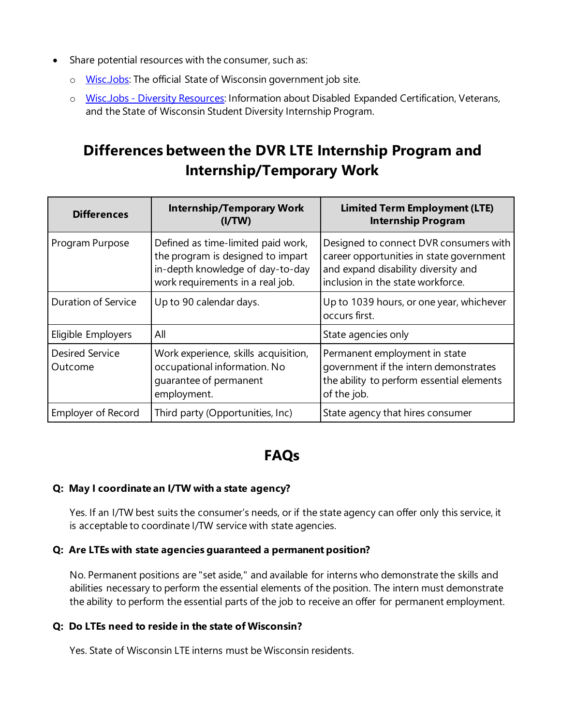- Share potential resources with the consumer, such as:
	- o **[Wisc.Jobs:](https://wisc.jobs/Pages/Welcome.aspx)** The official State of Wisconsin government job site.
	- o Wisc.Jobs [Diversity Resources:](https://wisc.jobs/Pages/EI-DiverseWorkforce.aspx) Information about Disabled Expanded Certification, Veterans, and the State of Wisconsin Student Diversity Internship Program.

# **Differences between the DVR LTE Internship Program and Internship/Temporary Work**

| <b>Differences</b>                | <b>Internship/Temporary Work</b><br>(I/TW)                                                                                                      | <b>Limited Term Employment (LTE)</b><br><b>Internship Program</b>                                                                                              |
|-----------------------------------|-------------------------------------------------------------------------------------------------------------------------------------------------|----------------------------------------------------------------------------------------------------------------------------------------------------------------|
| Program Purpose                   | Defined as time-limited paid work,<br>the program is designed to impart<br>in-depth knowledge of day-to-day<br>work requirements in a real job. | Designed to connect DVR consumers with<br>career opportunities in state government<br>and expand disability diversity and<br>inclusion in the state workforce. |
| <b>Duration of Service</b>        | Up to 90 calendar days.                                                                                                                         | Up to 1039 hours, or one year, whichever<br>occurs first.                                                                                                      |
| Eligible Employers                | All                                                                                                                                             | State agencies only                                                                                                                                            |
| <b>Desired Service</b><br>Outcome | Work experience, skills acquisition,<br>occupational information. No<br>quarantee of permanent<br>employment.                                   | Permanent employment in state<br>government if the intern demonstrates<br>the ability to perform essential elements<br>of the job.                             |
| Employer of Record                | Third party (Opportunities, Inc)                                                                                                                | State agency that hires consumer                                                                                                                               |

## **FAQs**

### **Q: May I coordinate an I/TW with a state agency?**

Yes. If an I/TW best suits the consumer's needs, or if the state agency can offer only this service, it is acceptable to coordinate I/TW service with state agencies.

### **Q: Are LTEs with state agencies guaranteed a permanent position?**

No. Permanent positions are "set aside," and available for interns who demonstrate the skills and abilities necessary to perform the essential elements of the position. The intern must demonstrate the ability to perform the essential parts of the job to receive an offer for permanent employment.

### **Q: Do LTEs need to reside in the state of Wisconsin?**

Yes. State of Wisconsin LTE interns must be Wisconsin residents.